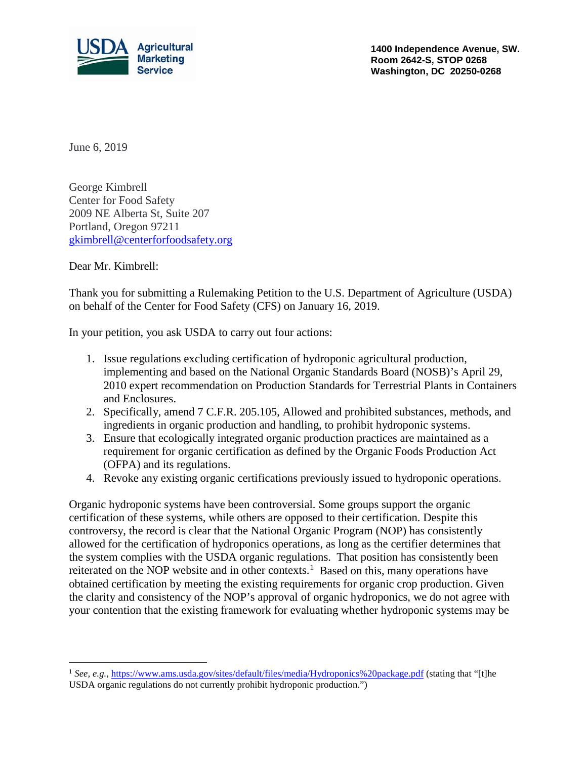

**1400 Independence Avenue, SW. Room 2642-S, STOP 0268 Washington, DC 20250-0268**

June 6, 2019

George Kimbrell Center for Food Safety 2009 NE Alberta St, Suite 207 Portland, Oregon 97211 [gkimbrell@centerforfoodsafety.org](mailto:gkimbrell@centerforfoodsafety.org)

Dear Mr. Kimbrell:

Thank you for submitting a Rulemaking Petition to the U.S. Department of Agriculture (USDA) on behalf of the Center for Food Safety (CFS) on January 16, 2019.

In your petition, you ask USDA to carry out four actions:

- 1. Issue regulations excluding certification of hydroponic agricultural production, implementing and based on the National Organic Standards Board (NOSB)'s April 29, 2010 expert recommendation on Production Standards for Terrestrial Plants in Containers and Enclosures.
- 2. Specifically, amend 7 C.F.R. 205.105, Allowed and prohibited substances, methods, and ingredients in organic production and handling, to prohibit hydroponic systems.
- 3. Ensure that ecologically integrated organic production practices are maintained as a requirement for organic certification as defined by the Organic Foods Production Act (OFPA) and its regulations.
- 4. Revoke any existing organic certifications previously issued to hydroponic operations.

Organic hydroponic systems have been controversial. Some groups support the organic certification of these systems, while others are opposed to their certification. Despite this controversy, the record is clear that the National Organic Program (NOP) has consistently allowed for the certification of hydroponics operations, as long as the certifier determines that the system complies with the USDA organic regulations. That position has consistently been reiterated on the NOP website and in other contexts.<sup>[1](#page-0-0)</sup> Based on this, many operations have obtained certification by meeting the existing requirements for organic crop production. Given the clarity and consistency of the NOP's approval of organic hydroponics, we do not agree with your contention that the existing framework for evaluating whether hydroponic systems may be

<span id="page-0-0"></span><sup>&</sup>lt;sup>1</sup> *See, e.g.*,<https://www.ams.usda.gov/sites/default/files/media/Hydroponics%20package.pdf> (stating that "[t]he USDA organic regulations do not currently prohibit hydroponic production.")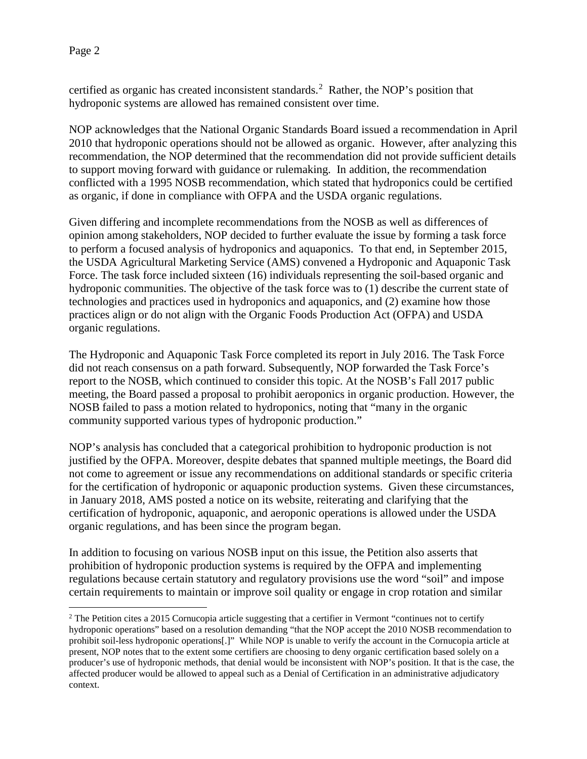certified as organic has created inconsistent standards.<sup>[2](#page-1-0)</sup> Rather, the NOP's position that hydroponic systems are allowed has remained consistent over time.

NOP acknowledges that the National Organic Standards Board issued a recommendation in April 2010 that hydroponic operations should not be allowed as organic. However, after analyzing this recommendation, the NOP determined that the recommendation did not provide sufficient details to support moving forward with guidance or rulemaking. In addition, the recommendation conflicted with a 1995 NOSB recommendation, which stated that hydroponics could be certified as organic, if done in compliance with OFPA and the USDA organic regulations.

Given differing and incomplete recommendations from the NOSB as well as differences of opinion among stakeholders, NOP decided to further evaluate the issue by forming a task force to perform a focused analysis of hydroponics and aquaponics. To that end, in September 2015, the USDA Agricultural Marketing Service (AMS) convened a Hydroponic and Aquaponic Task Force. The task force included sixteen (16) individuals representing the soil-based organic and hydroponic communities. The objective of the task force was to (1) describe the current state of technologies and practices used in hydroponics and aquaponics, and (2) examine how those practices align or do not align with the Organic Foods Production Act (OFPA) and USDA organic regulations.

The Hydroponic and Aquaponic Task Force completed its report in July 2016. The Task Force did not reach consensus on a path forward. Subsequently, NOP forwarded the Task Force's report to the NOSB, which continued to consider this topic. At the NOSB's Fall 2017 public meeting, the Board passed a proposal to prohibit aeroponics in organic production. However, the NOSB failed to pass a motion related to hydroponics, noting that "many in the organic community supported various types of hydroponic production."

NOP's analysis has concluded that a categorical prohibition to hydroponic production is not justified by the OFPA. Moreover, despite debates that spanned multiple meetings, the Board did not come to agreement or issue any recommendations on additional standards or specific criteria for the certification of hydroponic or aquaponic production systems. Given these circumstances, in January 2018, AMS posted a notice on its website, reiterating and clarifying that the certification of hydroponic, aquaponic, and aeroponic operations is allowed under the USDA organic regulations, and has been since the program began.

In addition to focusing on various NOSB input on this issue, the Petition also asserts that prohibition of hydroponic production systems is required by the OFPA and implementing regulations because certain statutory and regulatory provisions use the word "soil" and impose certain requirements to maintain or improve soil quality or engage in crop rotation and similar

<span id="page-1-0"></span><sup>&</sup>lt;sup>2</sup> The Petition cites a 2015 Cornucopia article suggesting that a certifier in Vermont "continues not to certify hydroponic operations" based on a resolution demanding "that the NOP accept the 2010 NOSB recommendation to prohibit soil-less hydroponic operations[.]" While NOP is unable to verify the account in the Cornucopia article at present, NOP notes that to the extent some certifiers are choosing to deny organic certification based solely on a producer's use of hydroponic methods, that denial would be inconsistent with NOP's position. It that is the case, the affected producer would be allowed to appeal such as a Denial of Certification in an administrative adjudicatory context.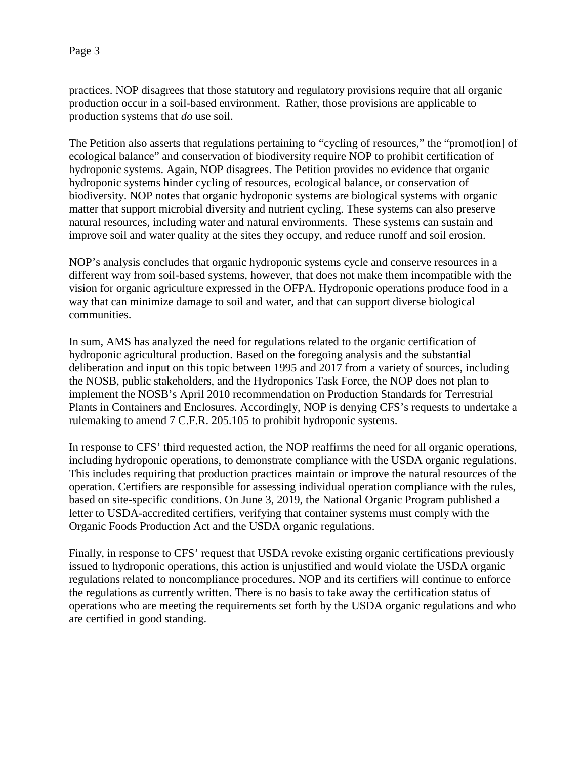practices. NOP disagrees that those statutory and regulatory provisions require that all organic production occur in a soil-based environment. Rather, those provisions are applicable to production systems that *do* use soil.

The Petition also asserts that regulations pertaining to "cycling of resources," the "promot[ion] of ecological balance" and conservation of biodiversity require NOP to prohibit certification of hydroponic systems. Again, NOP disagrees. The Petition provides no evidence that organic hydroponic systems hinder cycling of resources, ecological balance, or conservation of biodiversity. NOP notes that organic hydroponic systems are biological systems with organic matter that support microbial diversity and nutrient cycling. These systems can also preserve natural resources, including water and natural environments. These systems can sustain and improve soil and water quality at the sites they occupy, and reduce runoff and soil erosion.

NOP's analysis concludes that organic hydroponic systems cycle and conserve resources in a different way from soil-based systems, however, that does not make them incompatible with the vision for organic agriculture expressed in the OFPA. Hydroponic operations produce food in a way that can minimize damage to soil and water, and that can support diverse biological communities.

In sum, AMS has analyzed the need for regulations related to the organic certification of hydroponic agricultural production. Based on the foregoing analysis and the substantial deliberation and input on this topic between 1995 and 2017 from a variety of sources, including the NOSB, public stakeholders, and the Hydroponics Task Force, the NOP does not plan to implement the NOSB's April 2010 recommendation on Production Standards for Terrestrial Plants in Containers and Enclosures. Accordingly, NOP is denying CFS's requests to undertake a rulemaking to amend 7 C.F.R. 205.105 to prohibit hydroponic systems.

In response to CFS' third requested action, the NOP reaffirms the need for all organic operations, including hydroponic operations, to demonstrate compliance with the USDA organic regulations. This includes requiring that production practices maintain or improve the natural resources of the operation. Certifiers are responsible for assessing individual operation compliance with the rules, based on site-specific conditions. On June 3, 2019, the National Organic Program published a letter to USDA-accredited certifiers, verifying that container systems must comply with the Organic Foods Production Act and the USDA organic regulations.

Finally, in response to CFS' request that USDA revoke existing organic certifications previously issued to hydroponic operations, this action is unjustified and would violate the USDA organic regulations related to noncompliance procedures. NOP and its certifiers will continue to enforce the regulations as currently written. There is no basis to take away the certification status of operations who are meeting the requirements set forth by the USDA organic regulations and who are certified in good standing.